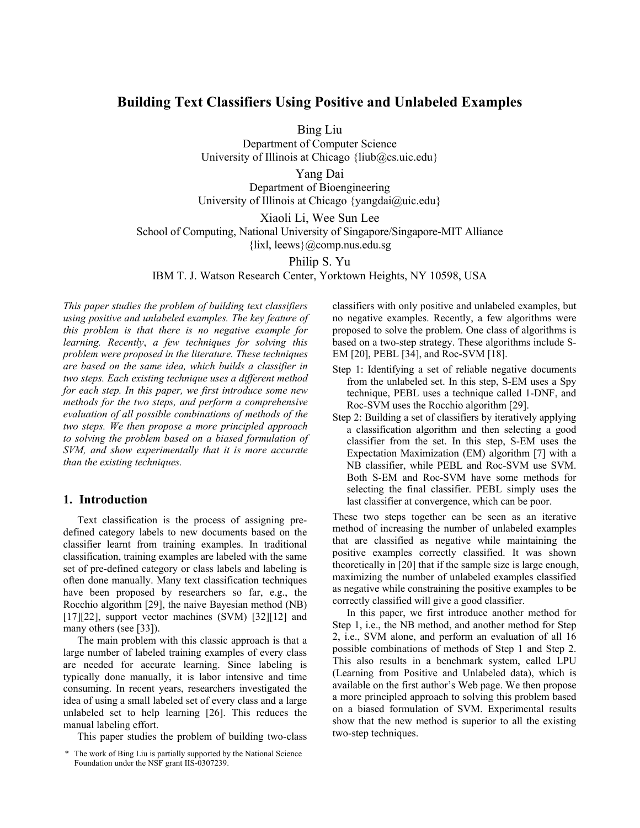# **Building Text Classifiers Using Positive and Unlabeled Examples**

Bing Liu

Department of Computer Science University of Illinois at Chicago {liub@cs.uic.edu}

Yang Dai

Department of Bioengineering University of Illinois at Chicago {yangdai@uic.edu}

Xiaoli Li, Wee Sun Lee

School of Computing, National University of Singapore/Singapore-MIT Alliance

 $\{$ lixl, leews $\}$ @comp.nus.edu.sg

Philip S. Yu

IBM T. J. Watson Research Center, Yorktown Heights, NY 10598, USA

*This paper studies the problem of building text classifiers using positive and unlabeled examples. The key feature of this problem is that there is no negative example for learning. Recently*, *a few techniques for solving this problem were proposed in the literature. These techniques are based on the same idea, which builds a classifier in two steps. Each existing technique uses a different method for each step. In this paper, we first introduce some new methods for the two steps, and perform a comprehensive evaluation of all possible combinations of methods of the two steps. We then propose a more principled approach to solving the problem based on a biased formulation of SVM, and show experimentally that it is more accurate than the existing techniques.* 

# **1. Introduction**

Text classification is the process of assigning predefined category labels to new documents based on the classifier learnt from training examples. In traditional classification, training examples are labeled with the same set of pre-defined category or class labels and labeling is often done manually. Many text classification techniques have been proposed by researchers so far, e.g., the Rocchio algorithm [29], the naive Bayesian method (NB) [17][22], support vector machines (SVM) [32][12] and many others (see [33]).

The main problem with this classic approach is that a large number of labeled training examples of every class are needed for accurate learning. Since labeling is typically done manually, it is labor intensive and time consuming. In recent years, researchers investigated the idea of using a small labeled set of every class and a large unlabeled set to help learning [26]. This reduces the manual labeling effort.

This paper studies the problem of building two-class

classifiers with only positive and unlabeled examples, but no negative examples. Recently, a few algorithms were proposed to solve the problem. One class of algorithms is based on a two-step strategy. These algorithms include S-EM [20], PEBL [34], and Roc-SVM [18].

- Step 1: Identifying a set of reliable negative documents from the unlabeled set. In this step, S-EM uses a Spy technique, PEBL uses a technique called 1-DNF, and Roc-SVM uses the Rocchio algorithm [29].
- Step 2: Building a set of classifiers by iteratively applying a classification algorithm and then selecting a good classifier from the set. In this step, S-EM uses the Expectation Maximization (EM) algorithm [7] with a NB classifier, while PEBL and Roc-SVM use SVM. Both S-EM and Roc-SVM have some methods for selecting the final classifier. PEBL simply uses the last classifier at convergence, which can be poor.

These two steps together can be seen as an iterative method of increasing the number of unlabeled examples that are classified as negative while maintaining the positive examples correctly classified. It was shown theoretically in [20] that if the sample size is large enough, maximizing the number of unlabeled examples classified as negative while constraining the positive examples to be correctly classified will give a good classifier.

In this paper, we first introduce another method for Step 1, i.e., the NB method, and another method for Step 2, i.e., SVM alone, and perform an evaluation of all 16 possible combinations of methods of Step 1 and Step 2. This also results in a benchmark system, called LPU (Learning from Positive and Unlabeled data), which is available on the first author's Web page. We then propose a more principled approach to solving this problem based on a biased formulation of SVM. Experimental results show that the new method is superior to all the existing two-step techniques.

<sup>\*</sup> The work of Bing Liu is partially supported by the National Science Foundation under the NSF grant IIS-0307239.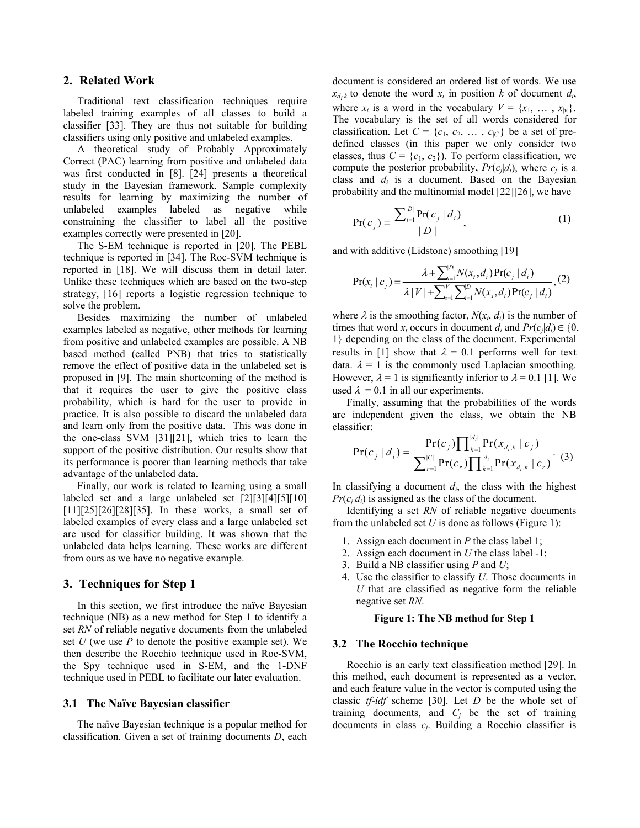# **2. Related Work**

Traditional text classification techniques require labeled training examples of all classes to build a classifier [33]. They are thus not suitable for building classifiers using only positive and unlabeled examples.

A theoretical study of Probably Approximately Correct (PAC) learning from positive and unlabeled data was first conducted in [8]. [24] presents a theoretical study in the Bayesian framework. Sample complexity results for learning by maximizing the number of unlabeled examples labeled as negative while constraining the classifier to label all the positive examples correctly were presented in [20].

The S-EM technique is reported in [20]. The PEBL technique is reported in [34]. The Roc-SVM technique is reported in [18]. We will discuss them in detail later. Unlike these techniques which are based on the two-step strategy, [16] reports a logistic regression technique to solve the problem.

Besides maximizing the number of unlabeled examples labeled as negative, other methods for learning from positive and unlabeled examples are possible. A NB based method (called PNB) that tries to statistically remove the effect of positive data in the unlabeled set is proposed in [9]. The main shortcoming of the method is that it requires the user to give the positive class probability, which is hard for the user to provide in practice. It is also possible to discard the unlabeled data and learn only from the positive data. This was done in the one-class SVM [31][21], which tries to learn the support of the positive distribution. Our results show that its performance is poorer than learning methods that take advantage of the unlabeled data.

Finally, our work is related to learning using a small labeled set and a large unlabeled set [2][3][4][5][10]  $[11][25][26][28][35]$ . In these works, a small set of labeled examples of every class and a large unlabeled set are used for classifier building. It was shown that the unlabeled data helps learning. These works are different from ours as we have no negative example.

# **3. Techniques for Step 1**

In this section, we first introduce the naïve Bayesian technique (NB) as a new method for Step 1 to identify a set *RN* of reliable negative documents from the unlabeled set *U* (we use *P* to denote the positive example set). We then describe the Rocchio technique used in Roc-SVM, the Spy technique used in S-EM, and the 1-DNF technique used in PEBL to facilitate our later evaluation.

#### **3.1 The Naïve Bayesian classifier**

The naïve Bayesian technique is a popular method for classification. Given a set of training documents *D*, each document is considered an ordered list of words. We use  $x_{d_i,k}$  to denote the word  $x_t$  in position  $k$  of document  $d_i$ , where  $x_t$  is a word in the vocabulary  $V = \{x_1, \ldots, x_{|v|}\}.$ The vocabulary is the set of all words considered for classification. Let  $C = \{c_1, c_2, \dots, c_{|C|}\}\)$  be a set of predefined classes (in this paper we only consider two classes, thus  $C = \{c_1, c_2\}$ . To perform classification, we compute the posterior probability,  $Pr(c_j|d_i)$ , where  $c_j$  is a class and  $d_i$  is a document. Based on the Bayesian probability and the multinomial model [22][26], we have

$$
Pr(c_j) = \frac{\sum_{i=1}^{|D|} Pr(c_j | d_i)}{|D|},
$$
 (1)

and with additive (Lidstone) smoothing [19]

$$
Pr(x_i | c_j) = \frac{\lambda + \sum_{i=1}^{|D|} N(x_i, d_i) Pr(c_j | d_i)}{\lambda |V| + \sum_{s=1}^{|V|} \sum_{i=1}^{|D|} N(x_s, d_i) Pr(c_j | d_i)},
$$
(2)

where  $\lambda$  is the smoothing factor,  $N(x_t, d_i)$  is the number of times that word *x<sub>t</sub>* occurs in document *d<sub>i</sub>* and  $Pr(c_i|d_i) \in \{0,$ 1} depending on the class of the document. Experimental results in [1] show that  $\lambda = 0.1$  performs well for text data.  $\lambda = 1$  is the commonly used Laplacian smoothing. However,  $\lambda = 1$  is significantly inferior to  $\lambda = 0.1$  [1]. We used  $\lambda = 0.1$  in all our experiments.

Finally, assuming that the probabilities of the words are independent given the class, we obtain the NB classifier:

$$
Pr(c_j | d_i) = \frac{Pr(c_j) \prod_{k=1}^{|d_i|} Pr(x_{d_i,k} | c_j)}{\sum_{r=1}^{|C|} Pr(c_r) \prod_{k=1}^{|d_i|} Pr(x_{d_i,k} | c_r)}.
$$
 (3)

In classifying a document  $d_i$ , the class with the highest  $Pr(c_i|d_i)$  is assigned as the class of the document.

Identifying a set *RN* of reliable negative documents from the unlabeled set *U* is done as follows (Figure 1):

- 1. Assign each document in *P* the class label 1;
- 2. Assign each document in *U* the class label -1;
- 3. Build a NB classifier using *P* and *U*;
- 4. Use the classifier to classify *U*. Those documents in *U* that are classified as negative form the reliable negative set *RN*.

#### **Figure 1: The NB method for Step 1**

#### **3.2 The Rocchio technique**

Rocchio is an early text classification method [29]. In this method, each document is represented as a vector, and each feature value in the vector is computed using the classic *tf-idf* scheme [30]. Let *D* be the whole set of training documents, and  $C_j$  be the set of training documents in class *cj*. Building a Rocchio classifier is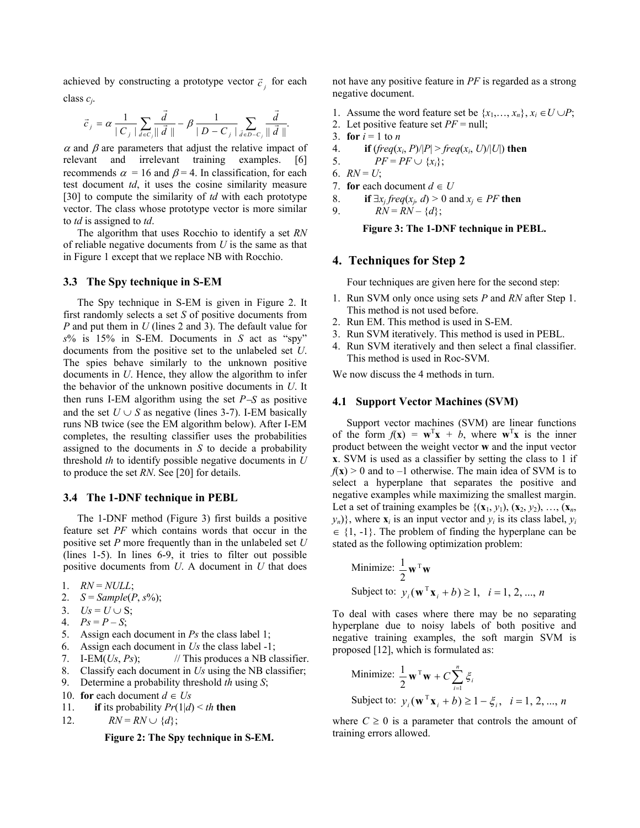achieved by constructing a prototype vector  $\vec{c}$ <sub>i</sub> for each class *cj*.

$$
\vec{c}_j = \alpha \frac{1}{|C_j|} \sum_{\vec{d} \in C_j} \frac{\vec{d}}{\|\vec{d}\|} - \beta \frac{1}{|D - C_j|} \sum_{\vec{d} \in D - C_j} \frac{\vec{d}}{\|\vec{d}\|}.
$$

 $\alpha$  and  $\beta$  are parameters that adjust the relative impact of relevant and irrelevant training examples. [6] recommends  $\alpha = 16$  and  $\beta = 4$ . In classification, for each test document *td*, it uses the cosine similarity measure [30] to compute the similarity of *td* with each prototype vector. The class whose prototype vector is more similar to *td* is assigned to *td*.

The algorithm that uses Rocchio to identify a set *RN* of reliable negative documents from *U* is the same as that in Figure 1 except that we replace NB with Rocchio.

### **3.3 The Spy technique in S-EM**

The Spy technique in S-EM is given in Figure 2. It first randomly selects a set *S* of positive documents from *P* and put them in *U* (lines 2 and 3). The default value for  $s\%$  is 15% in S-EM. Documents in *S* act as "spy" documents from the positive set to the unlabeled set *U*. The spies behave similarly to the unknown positive documents in *U*. Hence, they allow the algorithm to infer the behavior of the unknown positive documents in *U*. It then runs I-EM algorithm using the set *P*−*S* as positive and the set  $U \cup S$  as negative (lines 3-7). I-EM basically runs NB twice (see the EM algorithm below). After I-EM completes, the resulting classifier uses the probabilities assigned to the documents in *S* to decide a probability threshold *th* to identify possible negative documents in *U* to produce the set *RN*. See [20] for details.

#### **3.4 The 1-DNF technique in PEBL**

The 1-DNF method (Figure 3) first builds a positive feature set *PF* which contains words that occur in the positive set *P* more frequently than in the unlabeled set *U*  (lines 1-5). In lines 6-9, it tries to filter out possible positive documents from *U*. A document in *U* that does

- 1. *RN* = *NULL*;
- 2.  $S = Sample(P, s\%)$ ;
- 3.  $Us = U \cup S$ ;
- 4.  $Ps = P S$ ;
- 5. Assign each document in *Ps* the class label 1;
- 6. Assign each document in *Us* the class label -1;
- 7. I-EM( $Us, Ps$ ); // This produces a NB classifier.
- 8. Classify each document in *Us* using the NB classifier;
- 9. Determine a probability threshold *th* using *S*;
- 10. **for** each document  $d \in U_s$
- 11. **if** its probability  $Pr(1|d) \leq th$  **then**
- 12.  $RN = RN \cup \{d\};$

**Figure 2: The Spy technique in S-EM.** 

not have any positive feature in *PF* is regarded as a strong negative document.

- 1. Assume the word feature set be  $\{x_1, \ldots, x_n\}, x_i \in U \cup P$ ;
- 2. Let positive feature set *PF* = null;
- 3. **for**  $i = 1$  to *n*
- 4. **if**  $(\text{freq}(x_i, P)/|P| > \text{freq}(x_i, U)/|U|)$  then
- 5.  $PF = PF \cup \{x_i\};$
- 6.  $RN = U$ ;
- 7. **for** each document  $d \in U$
- 8. **if**  $\exists x_i$  *freq*( $x_i$ , *d*) > 0 and  $x_i \in PF$  **then**
- 9.  $RN = RN \{d\};$

**Figure 3: The 1-DNF technique in PEBL.** 

### **4. Techniques for Step 2**

Four techniques are given here for the second step:

- 1. Run SVM only once using sets *P* and *RN* after Step 1. This method is not used before.
- 2. Run EM. This method is used in S-EM.
- 3. Run SVM iteratively. This method is used in PEBL.
- 4. Run SVM iteratively and then select a final classifier. This method is used in Roc-SVM.

We now discuss the 4 methods in turn.

### **4.1 Support Vector Machines (SVM)**

Support vector machines (SVM) are linear functions of the form  $f(\mathbf{x}) = \mathbf{w}^T \mathbf{x} + b$ , where  $\mathbf{w}^T \mathbf{x}$  is the inner product between the weight vector **w** and the input vector **x**. SVM is used as a classifier by setting the class to 1 if  $f(x) > 0$  and to  $-1$  otherwise. The main idea of SVM is to select a hyperplane that separates the positive and negative examples while maximizing the smallest margin. Let a set of training examples be  $\{(x_1, y_1), (x_2, y_2), \ldots, (x_n, y_n)\}$  $y_n$ }, where  $\mathbf{x}_i$  is an input vector and  $y_i$  is its class label,  $y_i$  $\in \{1, -1\}$ . The problem of finding the hyperplane can be stated as the following optimization problem:

Minimize: 
$$
\frac{1}{2} \mathbf{w}^T \mathbf{w}
$$
  
Subject to:  $y_i(\mathbf{w}^T \mathbf{x}_i + b) \ge 1$ ,  $i = 1, 2, ..., n$ 

To deal with cases where there may be no separating hyperplane due to noisy labels of both positive and negative training examples, the soft margin SVM is proposed [12], which is formulated as:

Minimize: 
$$
\frac{1}{2} \mathbf{w}^{\mathrm{T}} \mathbf{w} + C \sum_{i=1}^{n} \xi_{i}
$$
  
Subject to:  $y_{i} (\mathbf{w}^{\mathrm{T}} \mathbf{x}_{i} + b) \ge 1 - \xi_{i}, i = 1, 2, ..., n$ 

where  $C \geq 0$  is a parameter that controls the amount of training errors allowed.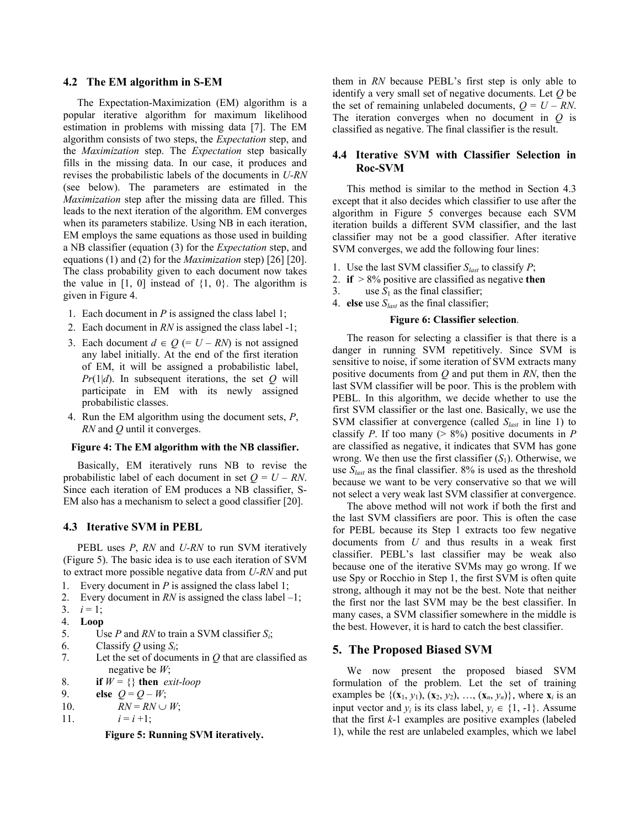#### **4.2 The EM algorithm in S-EM**

The Expectation-Maximization (EM) algorithm is a popular iterative algorithm for maximum likelihood estimation in problems with missing data [7]. The EM algorithm consists of two steps, the *Expectation* step, and the *Maximization* step. The *Expectation* step basically fills in the missing data. In our case, it produces and revises the probabilistic labels of the documents in *U-RN* (see below). The parameters are estimated in the *Maximization* step after the missing data are filled. This leads to the next iteration of the algorithm. EM converges when its parameters stabilize. Using NB in each iteration, EM employs the same equations as those used in building a NB classifier (equation (3) for the *Expectation* step, and equations (1) and (2) for the *Maximization* step) [26] [20]. The class probability given to each document now takes the value in  $[1, 0]$  instead of  $\{1, 0\}$ . The algorithm is given in Figure 4.

- 1. Each document in *P* is assigned the class label 1;
- 2. Each document in *RN* is assigned the class label -1;
- 3. Each document  $d \in Q$  (=  $U RN$ ) is not assigned any label initially. At the end of the first iteration of EM, it will be assigned a probabilistic label, *Pr*(1|*d*). In subsequent iterations, the set *Q* will participate in EM with its newly assigned probabilistic classes.
- 4. Run the EM algorithm using the document sets, *P*, *RN* and *Q* until it converges.

### **Figure 4: The EM algorithm with the NB classifier.**

Basically, EM iteratively runs NB to revise the probabilistic label of each document in set  $Q = U - RN$ . Since each iteration of EM produces a NB classifier, S-EM also has a mechanism to select a good classifier [20].

#### **4.3 Iterative SVM in PEBL**

PEBL uses *P*, *RN* and *U-RN* to run SVM iteratively (Figure 5). The basic idea is to use each iteration of SVM to extract more possible negative data from *U-RN* and put

- 1. Every document in *P* is assigned the class label 1;
- 2. Every document in  $RN$  is assigned the class label  $-1$ ;
- 3.  $i = 1$ ;
- 4. **Loop**
- 5. Use *P* and *RN* to train a SVM classifier *Si*;
- 6. Classify *Q* using  $S_i$ ;
- 7. Let the set of documents in *Q* that are classified as negative be *W*;
- 8. **if**  $W = \{\}$  then *exit-loop*
- 9. **else**  $Q = Q W$ ;
- 10.  $RN = RN \cup W$ ;
- 11.  $i = i + 1;$

**Figure 5: Running SVM iteratively.** 

them in *RN* because PEBL's first step is only able to identify a very small set of negative documents. Let *Q* be the set of remaining unlabeled documents,  $Q = U - RN$ . The iteration converges when no document in *Q* is classified as negative. The final classifier is the result.

# **4.4 Iterative SVM with Classifier Selection in Roc-SVM**

This method is similar to the method in Section 4.3 except that it also decides which classifier to use after the algorithm in Figure 5 converges because each SVM iteration builds a different SVM classifier, and the last classifier may not be a good classifier. After iterative SVM converges, we add the following four lines:

- 1. Use the last SVM classifier *Slast* to classify *P*;
- 2. **if** > 8% positive are classified as negative **then**
- 3. use  $S_1$  as the final classifier;
- 4. **else** use *Slast* as the final classifier;

#### **Figure 6: Classifier selection**.

The reason for selecting a classifier is that there is a danger in running SVM repetitively. Since SVM is sensitive to noise, if some iteration of SVM extracts many positive documents from *Q* and put them in *RN*, then the last SVM classifier will be poor. This is the problem with PEBL. In this algorithm, we decide whether to use the first SVM classifier or the last one. Basically, we use the SVM classifier at convergence (called *Slast* in line 1) to classify *P*. If too many ( $> 8\%$ ) positive documents in *P* are classified as negative, it indicates that SVM has gone wrong. We then use the first classifier  $(S_1)$ . Otherwise, we use *Slast* as the final classifier. 8% is used as the threshold because we want to be very conservative so that we will not select a very weak last SVM classifier at convergence.

The above method will not work if both the first and the last SVM classifiers are poor. This is often the case for PEBL because its Step 1 extracts too few negative documents from *U* and thus results in a weak first classifier. PEBL's last classifier may be weak also because one of the iterative SVMs may go wrong. If we use Spy or Rocchio in Step 1, the first SVM is often quite strong, although it may not be the best. Note that neither the first nor the last SVM may be the best classifier. In many cases, a SVM classifier somewhere in the middle is the best. However, it is hard to catch the best classifier.

### **5. The Proposed Biased SVM**

We now present the proposed biased SVM formulation of the problem. Let the set of training examples be  $\{(\mathbf{x}_1, y_1), (\mathbf{x}_2, y_2), \dots, (\mathbf{x}_n, y_n)\}\)$ , where  $\mathbf{x}_i$  is an input vector and  $y_i$  is its class label,  $y_i \in \{1, -1\}$ . Assume that the first *k*-1 examples are positive examples (labeled 1), while the rest are unlabeled examples, which we label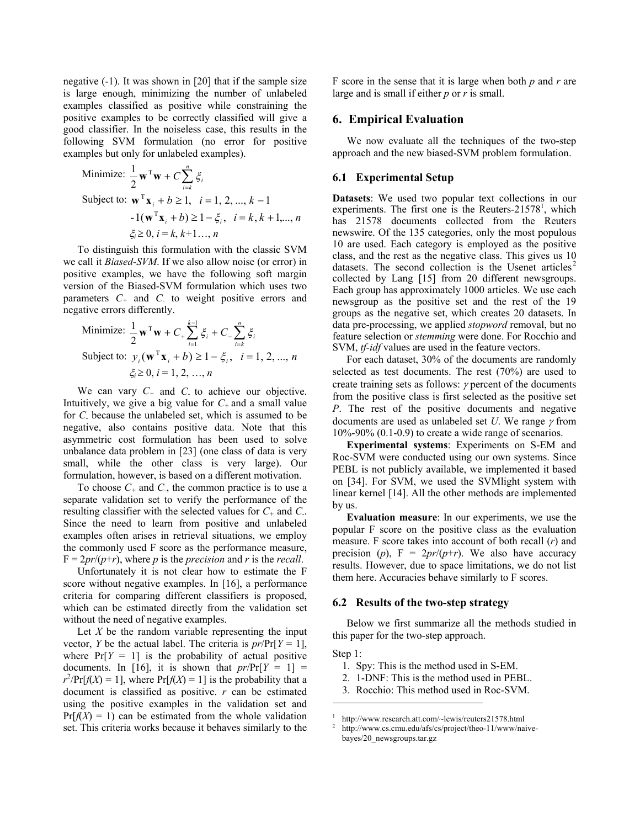negative (-1). It was shown in [20] that if the sample size is large enough, minimizing the number of unlabeled examples classified as positive while constraining the positive examples to be correctly classified will give a good classifier. In the noiseless case, this results in the following SVM formulation (no error for positive examples but only for unlabeled examples).

Minimize: 
$$
\frac{1}{2} \mathbf{w}^T \mathbf{w} + C \sum_{i=k}^n \xi_i
$$
  
Subject to:  $\mathbf{w}^T \mathbf{x}_i + b \ge 1$ ,  $i = 1, 2, ..., k - 1$   
 $-1(\mathbf{w}^T \mathbf{x}_i + b) \ge 1 - \xi_i$ ,  $i = k, k + 1, ..., n$   
 $\xi_i \ge 0$ ,  $i = k, k+1, ..., n$ 

To distinguish this formulation with the classic SVM we call it *Biased-SVM*. If we also allow noise (or error) in positive examples, we have the following soft margin version of the Biased-SVM formulation which uses two parameters *C+* and *C-* to weight positive errors and negative errors differently.

Minimize: 
$$
\frac{1}{2} \mathbf{w}^T \mathbf{w} + C_+ \sum_{i=1}^{k-1} \xi_i + C_- \sum_{i=k}^n \xi_i
$$
  
Subject to:  $y_i(\mathbf{w}^T \mathbf{x}_i + b) \ge 1 - \xi_i$ ,  $i = 1, 2, ..., n$   
 $\xi_i \ge 0, i = 1, 2, ..., n$ 

We can vary *C+* and *C-* to achieve our objective. Intuitively, we give a big value for  $C_+$  and a small value for *C-* because the unlabeled set, which is assumed to be negative, also contains positive data. Note that this asymmetric cost formulation has been used to solve unbalance data problem in [23] (one class of data is very small, while the other class is very large). Our formulation, however, is based on a different motivation.

To choose  $C_+$  and  $C_+$ , the common practice is to use a separate validation set to verify the performance of the resulting classifier with the selected values for *C+* and *C-*. Since the need to learn from positive and unlabeled examples often arises in retrieval situations, we employ the commonly used F score as the performance measure,  $F = 2pr/(p+r)$ , where *p* is the *precision* and *r* is the *recall*.

Unfortunately it is not clear how to estimate the F score without negative examples. In [16], a performance criteria for comparing different classifiers is proposed, which can be estimated directly from the validation set without the need of negative examples.

Let *X* be the random variable representing the input vector, *Y* be the actual label. The criteria is  $pr/Pr[Y = 1]$ , where  $Pr[Y = 1]$  is the probability of actual positive documents. In [16], it is shown that  $pr/Pr[Y = 1]$  =  $r^2$ Pr[*f*(*X*) = 1], where Pr[*f*(*X*) = 1] is the probability that a document is classified as positive. *r* can be estimated using the positive examples in the validation set and  $Pr[f(X) = 1]$  can be estimated from the whole validation set. This criteria works because it behaves similarly to the

F score in the sense that it is large when both *p* and *r* are large and is small if either *p* or *r* is small.

### **6. Empirical Evaluation**

We now evaluate all the techniques of the two-step approach and the new biased-SVM problem formulation.

# **6.1 Experimental Setup**

**Datasets**: We used two popular text collections in our experiments. The first one is the Reuters- $21578^1$ , which has 21578 documents collected from the Reuters newswire. Of the 135 categories, only the most populous 10 are used. Each category is employed as the positive class, and the rest as the negative class. This gives us 10 datasets. The second collection is the Usenet articles<sup>2</sup> collected by Lang [15] from 20 different newsgroups. Each group has approximately 1000 articles. We use each newsgroup as the positive set and the rest of the 19 groups as the negative set, which creates 20 datasets. In data pre-processing, we applied *stopword* removal, but no feature selection or *stemming* were done. For Rocchio and SVM, *tf-idf* values are used in the feature vectors.

For each dataset, 30% of the documents are randomly selected as test documents. The rest (70%) are used to create training sets as follows:  $\gamma$  percent of the documents from the positive class is first selected as the positive set *P*. The rest of the positive documents and negative documents are used as unlabeled set *U*. We range γ from  $10\% - 90\%$  (0.1-0.9) to create a wide range of scenarios.

**Experimental systems**: Experiments on S-EM and Roc-SVM were conducted using our own systems. Since PEBL is not publicly available, we implemented it based on [34]. For SVM, we used the SVMlight system with linear kernel [14]. All the other methods are implemented by us.

 **Evaluation measure**: In our experiments, we use the popular F score on the positive class as the evaluation measure. F score takes into account of both recall (*r*) and precision (*p*),  $F = 2pr/(p+r)$ . We also have accuracy results. However, due to space limitations, we do not list them here. Accuracies behave similarly to F scores.

#### **6.2 Results of the two-step strategy**

Below we first summarize all the methods studied in this paper for the two-step approach.

#### Step 1:

l

- 1. Spy: This is the method used in S-EM.
- 2. 1-DNF: This is the method used in PEBL.
- 3. Rocchio: This method used in Roc-SVM.

<sup>1</sup> http://www.research.att.com/~lewis/reuters21578.html

<sup>2</sup> http://www.cs.cmu.edu/afs/cs/project/theo-11/www/naivebayes/20\_newsgroups.tar.gz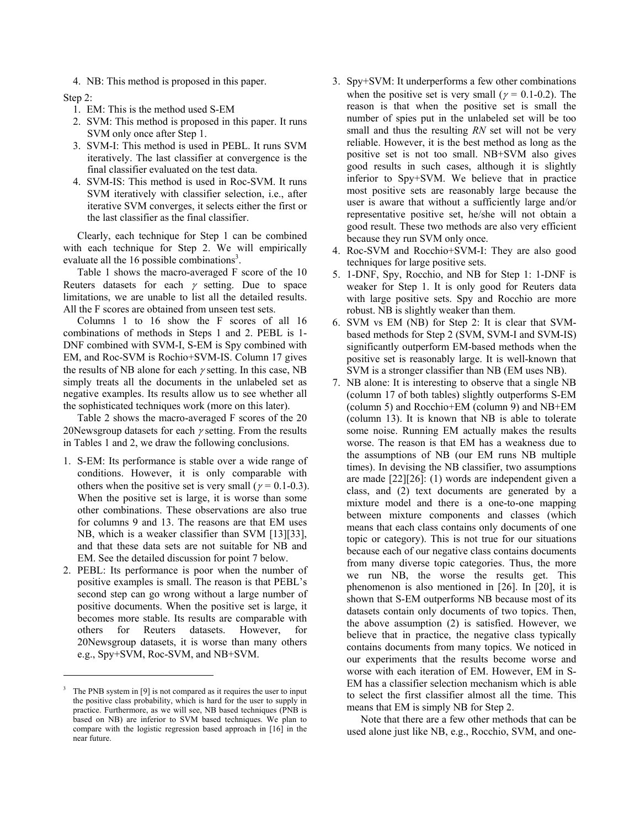4. NB: This method is proposed in this paper.

Step 2:

 $\overline{\phantom{a}}$ 

- 1. EM: This is the method used S-EM
- 2. SVM: This method is proposed in this paper. It runs SVM only once after Step 1.
- 3. SVM-I: This method is used in PEBL. It runs SVM iteratively. The last classifier at convergence is the final classifier evaluated on the test data.
- 4. SVM-IS: This method is used in Roc-SVM. It runs SVM iteratively with classifier selection, i.e., after iterative SVM converges, it selects either the first or the last classifier as the final classifier.

Clearly, each technique for Step 1 can be combined with each technique for Step 2. We will empirically evaluate all the  $16$  possible combinations<sup>3</sup>.

Table 1 shows the macro-averaged F score of the 10 Reuters datasets for each  $\gamma$  setting. Due to space limitations, we are unable to list all the detailed results. All the F scores are obtained from unseen test sets.

Columns 1 to 16 show the F scores of all 16 combinations of methods in Steps 1 and 2. PEBL is 1- DNF combined with SVM-I, S-EM is Spy combined with EM, and Roc-SVM is Rochio+SVM-IS. Column 17 gives the results of NB alone for each  $\gamma$  setting. In this case, NB simply treats all the documents in the unlabeled set as negative examples. Its results allow us to see whether all the sophisticated techniques work (more on this later).

Table 2 shows the macro-averaged F scores of the 20 20Newsgroup datasets for each  $\gamma$  setting. From the results in Tables 1 and 2, we draw the following conclusions.

- 1. S-EM: Its performance is stable over a wide range of conditions. However, it is only comparable with others when the positive set is very small ( $\gamma = 0.1$ -0.3). When the positive set is large, it is worse than some other combinations. These observations are also true for columns 9 and 13. The reasons are that EM uses NB, which is a weaker classifier than SVM [13][33], and that these data sets are not suitable for NB and EM. See the detailed discussion for point 7 below.
- 2. PEBL: Its performance is poor when the number of positive examples is small. The reason is that PEBL's second step can go wrong without a large number of positive documents. When the positive set is large, it becomes more stable. Its results are comparable with others for Reuters datasets. However, for 20Newsgroup datasets, it is worse than many others e.g., Spy+SVM, Roc-SVM, and NB+SVM.
- 3. Spy+SVM: It underperforms a few other combinations when the positive set is very small ( $\gamma = 0.1$ -0.2). The reason is that when the positive set is small the number of spies put in the unlabeled set will be too small and thus the resulting *RN* set will not be very reliable. However, it is the best method as long as the positive set is not too small. NB+SVM also gives good results in such cases, although it is slightly inferior to Spy+SVM. We believe that in practice most positive sets are reasonably large because the user is aware that without a sufficiently large and/or representative positive set, he/she will not obtain a good result. These two methods are also very efficient because they run SVM only once.
- 4. Roc-SVM and Rocchio+SVM-I: They are also good techniques for large positive sets.
- 5. 1-DNF, Spy, Rocchio, and NB for Step 1: 1-DNF is weaker for Step 1. It is only good for Reuters data with large positive sets. Spy and Rocchio are more robust. NB is slightly weaker than them.
- 6. SVM vs EM (NB) for Step 2: It is clear that SVMbased methods for Step 2 (SVM, SVM-I and SVM-IS) significantly outperform EM-based methods when the positive set is reasonably large. It is well-known that SVM is a stronger classifier than NB (EM uses NB).
- 7. NB alone: It is interesting to observe that a single NB (column 17 of both tables) slightly outperforms S-EM (column 5) and Rocchio+EM (column 9) and NB+EM (column 13). It is known that NB is able to tolerate some noise. Running EM actually makes the results worse. The reason is that EM has a weakness due to the assumptions of NB (our EM runs NB multiple times). In devising the NB classifier, two assumptions are made [22][26]: (1) words are independent given a class, and (2) text documents are generated by a mixture model and there is a one-to-one mapping between mixture components and classes (which means that each class contains only documents of one topic or category). This is not true for our situations because each of our negative class contains documents from many diverse topic categories. Thus, the more we run NB, the worse the results get. This phenomenon is also mentioned in [26]. In [20], it is shown that S-EM outperforms NB because most of its datasets contain only documents of two topics. Then, the above assumption (2) is satisfied. However, we believe that in practice, the negative class typically contains documents from many topics. We noticed in our experiments that the results become worse and worse with each iteration of EM. However, EM in S-EM has a classifier selection mechanism which is able to select the first classifier almost all the time. This means that EM is simply NB for Step 2.

Note that there are a few other methods that can be used alone just like NB, e.g., Rocchio, SVM, and one-

<sup>3</sup> The PNB system in [9] is not compared as it requires the user to input the positive class probability, which is hard for the user to supply in practice. Furthermore, as we will see, NB based techniques (PNB is based on NB) are inferior to SVM based techniques. We plan to compare with the logistic regression based approach in [16] in the near future.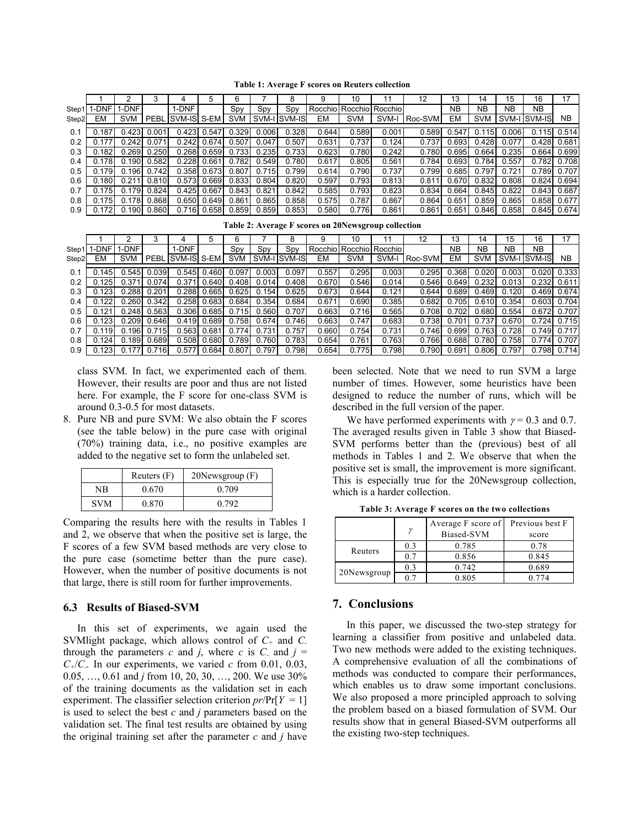|       |         |       |       |                  |                         |       |       |                  |       | 10                         |        | 12            | 13    | 14         | 15        | 16           |               |
|-------|---------|-------|-------|------------------|-------------------------|-------|-------|------------------|-------|----------------------------|--------|---------------|-------|------------|-----------|--------------|---------------|
| Step1 | 1-DNF I | 1-DNF |       | 1-DNF            |                         | Spy   | Spy   | Spy              |       | Rocchiol Rocchiol Rocchiol |        |               | NΒ    | <b>NB</b>  | <b>NB</b> | NΒ           |               |
| Step2 | EM      | SVM I |       | PEBL SVM-IS S-EM |                         |       |       | SVM SVM-I SVM-IS | EM    | <b>SVM</b>                 |        | SVM-I Roc-SVM | EM    | <b>SVM</b> |           | SVM-I SVM-IS | NB.           |
|       |         |       |       |                  |                         |       |       |                  |       |                            |        |               |       |            |           |              |               |
| 0.1   | 0.187   | 0.423 | 0.001 |                  | $0.423 \mid 0.547 \mid$ | 0.329 | 0.006 | 0.328            | 0.644 | 0.589                      | 0.001  | 0.589         | 0.547 | 0.115      | 0.006     | 0.115        | 0.514         |
| 0.2   |         | 0.242 | 0.071 | 0.242            | 0.674                   | 0.507 | 0.047 | 0.507            | 0.631 | 0.737                      | 0.124  | 0.737         | 0.693 | 0.428      | 0.077     | 0.428        | 0.681         |
| 0.3   | 0.182   | 0.269 | 0.250 | 0.268            | 0.659                   | 0.733 | 0.235 | 0.733            | 0.623 | 0.780                      | 0.242  | 0.780         | 0.695 | 0.664      | 0.235     | 0.664        | 0.699         |
| 0.4   | 0.178   | 0.190 | 0.582 | 0.228            | 0.661                   | 0.782 | 0.549 | 0.780            | 0.617 | 0.805                      | 0.561  | 0.784         | 0.693 | 0.784      | 0.557     | 0.782        | 0.708         |
| 0.5   | 0.179   | 0.196 | 0.742 | 0.358            | 0.673                   | 0.807 | 0.715 | 0.799            | 0.614 | 0.790                      | 0.737  | 0.799         | 0.685 | 0.797      | 0.721     | 0.789        | 0.707         |
| 0.6   | 0.180   | 0.211 | 0.810 | 0.573            | 0.669                   | 0.833 | 0.804 | 0.820            | 0.597 | 0.793                      | 0.813  | 0.811         | 0.670 | 0.832      | 0.808     | 0.824        | 0.694         |
|       | 0.175   | 0.179 | 0.824 | 0.425            | 0.667                   | 0.843 | 0.821 | 0.842            | 0.585 | 0.793                      | 0.8231 | 0.834         | 0.664 | 0.845      | 0.822     |              | $0.843$ 0.687 |
| 0.8   | 0.175   | 0.178 | 0.868 | 0.650            | 0.649                   | 0.861 | 0.865 | 0.858            | 0.575 | 0.787                      | 0.867  | 0.864         | 0.651 | 0.859      | 0.865     | 0.858        | 0.677         |
| 0.9   |         | 0.190 | 0.860 |                  | $0.716$ 0.658           | 0.859 | 0.859 | 0.853            | 0.580 | 0.776                      | 0.861  | 0.861         | 0.651 | 0.846      | 0.858     |              | $0.845$ 0.674 |

**Table 1: Average F scores on Reuters collection**

|  | Table 2: Average F scores on 20Newsgroup collection |  |  |  |
|--|-----------------------------------------------------|--|--|--|
|--|-----------------------------------------------------|--|--|--|

|       |       |         |                 |                        |                     |       |       |                 |       | 10         |                            | 12            |           | 14         |           |              |                 |
|-------|-------|---------|-----------------|------------------------|---------------------|-------|-------|-----------------|-------|------------|----------------------------|---------------|-----------|------------|-----------|--------------|-----------------|
| Step1 | 1-DNF | 1-DNF l |                 | 1-DNF                  |                     | Spy   | Spy   | Spy             |       |            | Rocchiol Rocchiol Rocchiol |               | <b>NB</b> | <b>NB</b>  | <b>NB</b> | <b>NB</b>    |                 |
| Step2 | EM    |         |                 | SVM   PEBL SVM-IS S-EM |                     |       |       | SVM SVM-ISVM-IS | EM    | <b>SVM</b> |                            | SVM-I Roc-SVM | EM        | <b>SVM</b> |           | SVM-I SVM-IS | NB.             |
| 0.1   | 0.145 |         | $0.545$ 0.039   |                        | $0.545$ 0.460       | 0.097 | 0.003 | 0.097           | 0.557 | 0.295      | 0.003                      | 0.295         | 0.368     | 0.020      | 0.003     |              | 0.020 0.333     |
| 0.2   | 0.125 | 0.371   | 110.074         | 0.371                  | 0.640               | 0.408 | 0.014 | 0.408           | 0.670 | 0.546      | 0.014                      | 0.546         | 0.649     | 0.232      | 0.013     |              | $0.232$ $0.611$ |
| 0.3   | 0.123 |         | $0.288$ $0.201$ |                        | $0.288 \quad 0.665$ | 0.625 | 0.154 | 0.625           | 0.673 | 0.644      | 0.121                      | 0.644         | 0.689     | 0.469      | 0.120     |              | 0.469 0.674     |
| 0.4   | 0.122 |         | $0.260$ $0.342$ |                        | $0.258$ 0.683       | 0.684 | 0.354 | 0.684           | 0.671 | 0.690      | 0.385                      | 0.682         | 0.705     | 0.610      | 0.354     |              | 0.603 0.704     |
| 0.5   |       |         | $0.248$ $0.563$ |                        | $0.306$ 0.685       | 0.715 | 0.560 | 0.707           | 0.663 | 0.716      | 0.565                      | 0.708         | 0.702     | 0.680      | 0.554     |              | 0.672 0.707     |
| 0.6   |       |         | $0.209$ $0.646$ |                        | 0.419 0.689         | 0.758 | 0.674 | 0.746           | 0.663 | 0.747      | 0.683                      | 0.738         | 0.701     | 0.737      | 0.670     |              | $0.724$ 0.715   |
| 0.7   | 0.119 |         | $0.196$ $0.715$ |                        | $0.563$ $0.681$     | 0.774 | 0.731 | 0.757           | 0.660 | 0.754      | 0.731                      | 0.746         | 0.699     | 0.763      | 0.728     |              | 0.749 0.717     |
| 0.8   | 0.124 |         | $0.189$ $0.689$ |                        | $0.508$ 0.680       | 0.789 | 0.760 | 0.783           | 0.654 | 0.761      | 0.763                      | 0.766         | 0.688     | 0.780      | 0.758     |              | 0.774 0.707     |
| 0.9   | 0.123 |         | $0.177$ 0.716   |                        | $0.577$ 0.684       | 0.807 | 0.797 | 0.798           | 0.654 | 0.775      | 0.798                      | 0.790         | 0.691     | 0.806      | 0.797     |              | 0.798 0.714     |

class SVM. In fact, we experimented each of them. However, their results are poor and thus are not listed here. For example, the F score for one-class SVM is around 0.3-0.5 for most datasets.

8. Pure NB and pure SVM: We also obtain the F scores (see the table below) in the pure case with original (70%) training data, i.e., no positive examples are added to the negative set to form the unlabeled set.

|            | Reuters $(F)$ | $20$ Newsgroup $(F)$ |
|------------|---------------|----------------------|
| NΒ         | 0.670         | 0.709                |
| <b>SVM</b> | 0.870         | 0.792                |

Comparing the results here with the results in Tables 1 and 2, we observe that when the positive set is large, the F scores of a few SVM based methods are very close to the pure case (sometime better than the pure case). However, when the number of positive documents is not that large, there is still room for further improvements.

### **6.3 Results of Biased-SVM**

In this set of experiments, we again used the SVMlight package, which allows control of *C+* and *C*through the parameters *c* and *j*, where *c* is *C* and  $j =$  $C_{+}/C_{-}$ . In our experiments, we varied *c* from 0.01, 0.03, 0.05,  $\dots$ , 0.61 and *j* from 10, 20, 30,  $\dots$ , 200. We use 30% of the training documents as the validation set in each experiment. The classifier selection criterion  $pr/Pr[Y = 1]$ is used to select the best *c* and *j* parameters based on the validation set. The final test results are obtained by using the original training set after the parameter *c* and *j* have been selected. Note that we need to run SVM a large number of times. However, some heuristics have been designed to reduce the number of runs, which will be described in the full version of the paper.

We have performed experiments with  $\gamma = 0.3$  and 0.7. The averaged results given in Table 3 show that Biased-SVM performs better than the (previous) best of all methods in Tables 1 and 2. We observe that when the positive set is small, the improvement is more significant. This is especially true for the 20Newsgroup collection, which is a harder collection.

**Table 3: Average F scores on the two collections**

|             | $\mathcal V$   | Average F score of<br>Biased-SVM | Previous best F<br>score |
|-------------|----------------|----------------------------------|--------------------------|
|             | 0.3            | 0.785                            | 0.78                     |
| Reuters     | 0 <sub>7</sub> | 0.856                            | 0.845                    |
| 20Newsgroup | 0.3            | 0.742                            | 0.689                    |
|             |                | 0 805                            | በ 774                    |

## **7. Conclusions**

In this paper, we discussed the two-step strategy for learning a classifier from positive and unlabeled data. Two new methods were added to the existing techniques. A comprehensive evaluation of all the combinations of methods was conducted to compare their performances, which enables us to draw some important conclusions. We also proposed a more principled approach to solving the problem based on a biased formulation of SVM. Our results show that in general Biased-SVM outperforms all the existing two-step techniques.